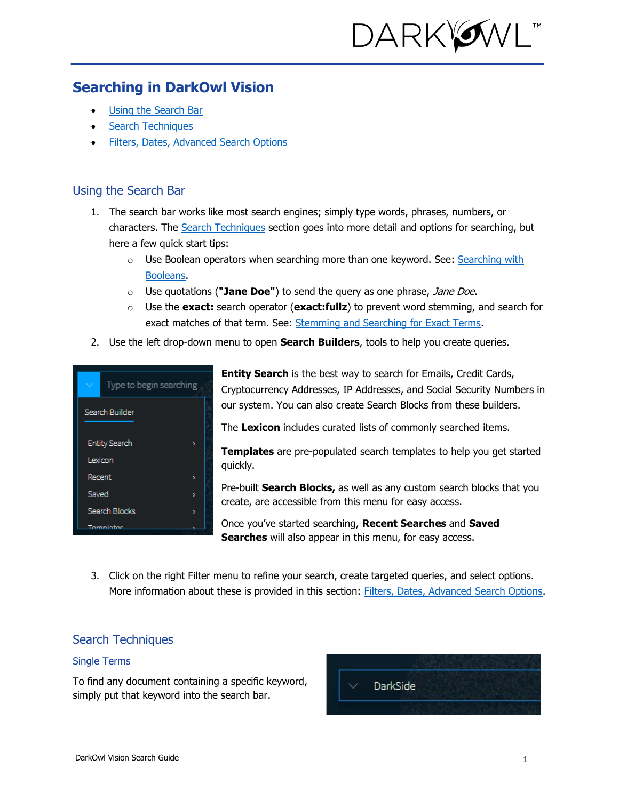

# **Searching in DarkOwl Vision**

- [Using the Search Bar](#page-0-0)
- **[Search Techniques](#page-0-1)**
- [Filters, Dates, Advanced Search Options](#page-3-0)

## <span id="page-0-0"></span>Using the Search Bar

- 1. The search bar works like most search engines; simply type words, phrases, numbers, or characters. The [Search Techniques](#page-0-1) section goes into more detail and options for searching, but here a few quick start tips:
	- $\circ$  Use Boolean operators when searching more than one keyword. See: Searching with [Booleans.](#page-1-0)
	- o Use quotations (**"Jane Doe"**) to send the query as one phrase, Jane Doe.
	- o Use the **exact:** search operator (**exact:fullz**) to prevent word stemming, and search for exact matches of that term. See: [Stemming and Searching for Exact Terms.](#page-1-1)
- 2. Use the left drop-down menu to open **Search Builders**, tools to help you create queries.



**Entity Search** is the best way to search for Emails, Credit Cards, Cryptocurrency Addresses, IP Addresses, and Social Security Numbers in our system. You can also create Search Blocks from these builders.

The **Lexicon** includes curated lists of commonly searched items.

**Templates** are pre-populated search templates to help you get started quickly.

Pre-built **Search Blocks,** as well as any custom search blocks that you create, are accessible from this menu for easy access.

Once you've started searching, **Recent Searches** and **Saved Searches** will also appear in this menu, for easy access.

3. Click on the right Filter menu to refine your search, create targeted queries, and select options. More information about these is provided in this section: [Filters, Dates, Advanced Search Options.](#page-3-0)

## <span id="page-0-1"></span>Search Techniques

#### Single Terms

To find any document containing a specific keyword, simply put that keyword into the search bar.

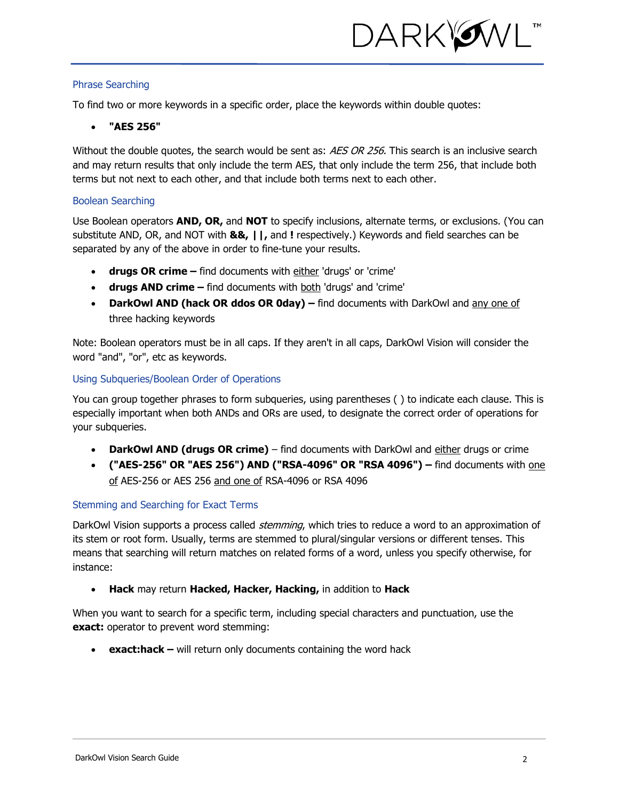

#### Phrase Searching

To find two or more keywords in a specific order, place the keywords within double quotes:

#### • **"AES 256"**

Without the double quotes, the search would be sent as: AES OR 256. This search is an inclusive search and may return results that only include the term AES, that only include the term 256, that include both terms but not next to each other, and that include both terms next to each other.

#### <span id="page-1-0"></span>Boolean Searching

Use Boolean operators **AND, OR,** and **NOT** to specify inclusions, alternate terms, or exclusions. (You can substitute AND, OR, and NOT with **&&, ||,** and **!** respectively.) Keywords and field searches can be separated by any of the above in order to fine-tune your results.

- **drugs OR crime –** find documents with either 'drugs' or 'crime'
- **drugs AND crime –** find documents with both 'drugs' and 'crime'
- **DarkOwl AND (hack OR ddos OR 0day) –** find documents with DarkOwl and any one of three hacking keywords

Note: Boolean operators must be in all caps. If they aren't in all caps, DarkOwl Vision will consider the word "and", "or", etc as keywords.

#### Using Subqueries/Boolean Order of Operations

You can group together phrases to form subqueries, using parentheses ( ) to indicate each clause. This is especially important when both ANDs and ORs are used, to designate the correct order of operations for your subqueries.

- **DarkOwl AND (drugs OR crime)** find documents with DarkOwl and either drugs or crime
- **("AES-256" OR "AES 256") AND ("RSA-4096" OR "RSA 4096") –** find documents with one of AES-256 or AES 256 and one of RSA-4096 or RSA 4096

## <span id="page-1-1"></span>Stemming and Searching for Exact Terms

DarkOwl Vision supports a process called *stemming*, which tries to reduce a word to an approximation of its stem or root form. Usually, terms are stemmed to plural/singular versions or different tenses. This means that searching will return matches on related forms of a word, unless you specify otherwise, for instance:

• **Hack** may return **Hacked, Hacker, Hacking,** in addition to **Hack**

When you want to search for a specific term, including special characters and punctuation, use the **exact:** operator to prevent word stemming:

• **exact:hack –** will return only documents containing the word hack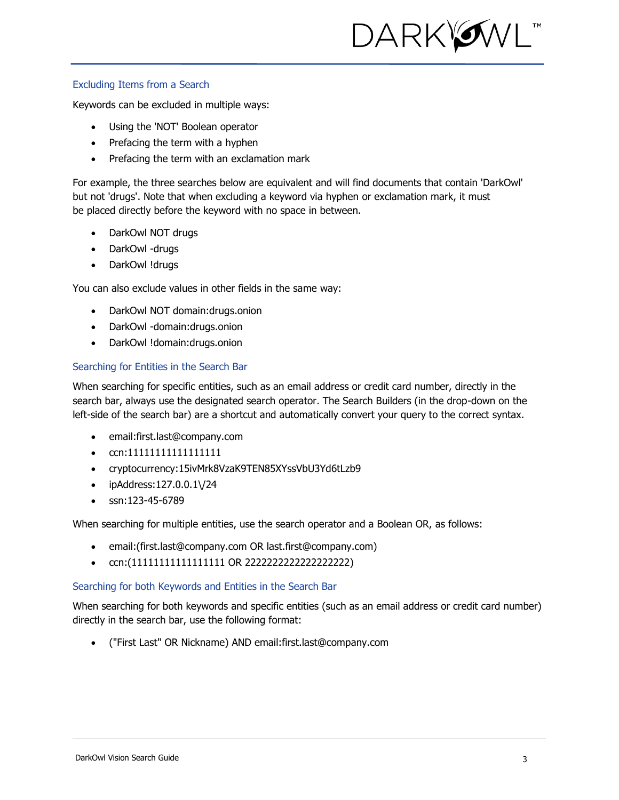

#### Excluding Items from a Search

Keywords can be excluded in multiple ways:

- Using the 'NOT' Boolean operator
- Prefacing the term with a hyphen
- Prefacing the term with an exclamation mark

For example, the three searches below are equivalent and will find documents that contain 'DarkOwl' but not 'drugs'. Note that when excluding a keyword via hyphen or exclamation mark, it must be placed directly before the keyword with no space in between.

- DarkOwl NOT drugs
- DarkOwl -drugs
- DarkOwl !drugs

You can also exclude values in other fields in the same way:

- DarkOwl NOT domain:drugs.onion
- DarkOwl -domain:drugs.onion
- DarkOwl !domain:drugs.onion

## Searching for Entities in the Search Bar

When searching for specific entities, such as an email address or credit card number, directly in the search bar, always use the designated search operator. The Search Builders (in the drop-down on the left-side of the search bar) are a shortcut and automatically convert your query to the correct syntax.

- email:first.last@company.com
- ccn:11111111111111111
- cryptocurrency:15ivMrk8VzaK9TEN85XYssVbU3Yd6tLzb9
- ipAddress:127.0.0.1\/24
- ssn:123-45-6789

When searching for multiple entities, use the search operator and a Boolean OR, as follows:

- email:(first.last@company.com OR last.first@company.com)
- ccn:(11111111111111111 OR 2222222222222222222)

## Searching for both Keywords and Entities in the Search Bar

When searching for both keywords and specific entities (such as an email address or credit card number) directly in the search bar, use the following format:

• ("First Last" OR Nickname) AND email:first.last@company.com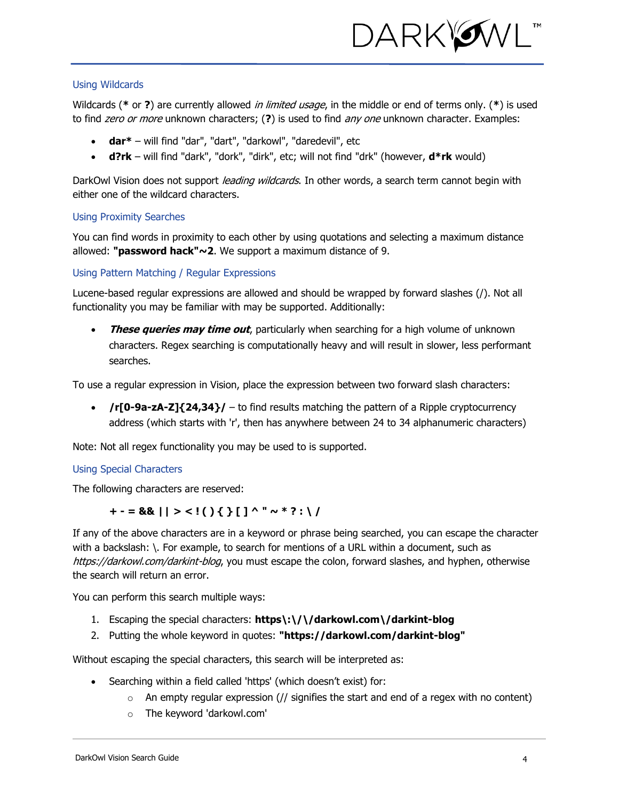

#### Using Wildcards

Wildcards (**\*** or **?**) are currently allowed in limited usage, in the middle or end of terms only. (**\***) is used to find zero or more unknown characters; (**?**) is used to find any one unknown character. Examples:

- **dar\*** will find "dar", "dart", "darkowl", "daredevil", etc
- **d?rk** will find "dark", "dork", "dirk", etc; will not find "drk" (however, **d\*rk** would)

DarkOwl Vision does not support *leading wildcards*. In other words, a search term cannot begin with either one of the wildcard characters.

#### Using Proximity Searches

You can find words in proximity to each other by using quotations and selecting a maximum distance allowed: **"password hack"~2**. We support a maximum distance of 9.

<span id="page-3-0"></span>Using Pattern Matching / Regular Expressions

Lucene-based regular expressions are allowed and should be wrapped by forward slashes (/). Not all functionality you may be familiar with may be supported. Additionally:

**These queries may time out**, particularly when searching for a high volume of unknown characters. Regex searching is computationally heavy and will result in slower, less performant searches.

To use a regular expression in Vision, place the expression between two forward slash characters:

• **/r[0-9a-zA-Z]{24,34}/** – to find results matching the pattern of a Ripple cryptocurrency address (which starts with 'r', then has anywhere between 24 to 34 alphanumeric characters)

Note: Not all regex functionality you may be used to is supported.

## Using Special Characters

The following characters are reserved:

## $+ - = 88$ || > <!( ) { } [ ] ^ " ~ \* ? : \ /

If any of the above characters are in a keyword or phrase being searched, you can escape the character with a backslash: \. For example, to search for mentions of a URL within a document, such as https://darkowl.com/darkint-blog, you must escape the colon, forward slashes, and hyphen, otherwise the search will return an error.

You can perform this search multiple ways:

- 1. Escaping the special characters: **https\:\/\/darkowl.com\/darkint-blog**
- 2. Putting the whole keyword in quotes: **"https://darkowl.com/darkint-blog"**

Without escaping the special characters, this search will be interpreted as:

- Searching within a field called 'https' (which doesn't exist) for:
	- $\circ$  An empty regular expression (// signifies the start and end of a regex with no content)
	- o The keyword 'darkowl.com'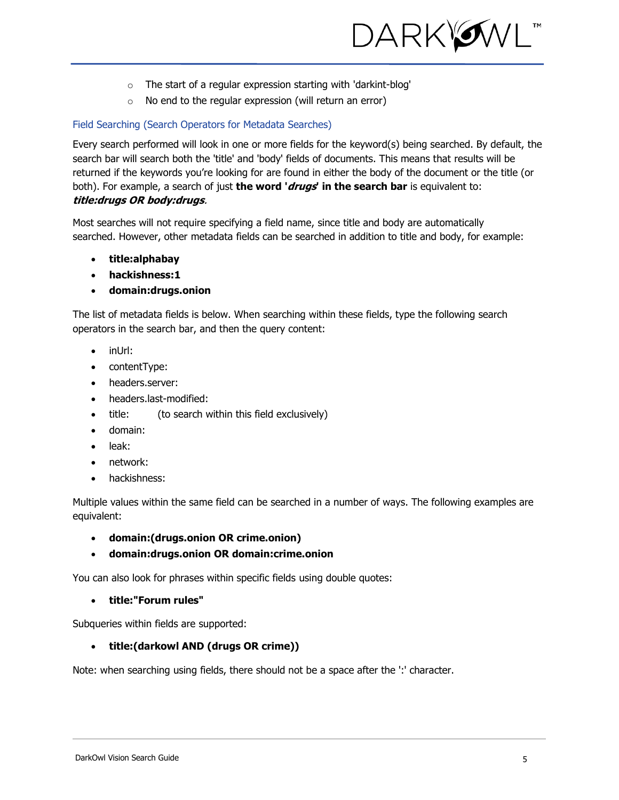

- o The start of a regular expression starting with 'darkint-blog'
- o No end to the regular expression (will return an error)

#### Field Searching (Search Operators for Metadata Searches)

Every search performed will look in one or more fields for the keyword(s) being searched. By default, the search bar will search both the 'title' and 'body' fields of documents. This means that results will be returned if the keywords you're looking for are found in either the body of the document or the title (or both). For example, a search of just **the word 'drugs' in the search bar** is equivalent to: **title:drugs OR body:drugs**.

Most searches will not require specifying a field name, since title and body are automatically searched. However, other metadata fields can be searched in addition to title and body, for example:

- **title:alphabay**
- **hackishness:1**
- **domain:drugs.onion**

The list of metadata fields is below. When searching within these fields, type the following search operators in the search bar, and then the query content:

- inUrl:
- contentType:
- headers.server:
- headers.last-modified:
- title: (to search within this field exclusively)
- domain:
- leak:
- network:
- hackishness:

Multiple values within the same field can be searched in a number of ways. The following examples are equivalent:

- **domain:(drugs.onion OR crime.onion)**
- **domain:drugs.onion OR domain:crime.onion**

You can also look for phrases within specific fields using double quotes:

### • **title:"Forum rules"**

Subqueries within fields are supported:

## • **title:(darkowl AND (drugs OR crime))**

Note: when searching using fields, there should not be a space after the ':' character.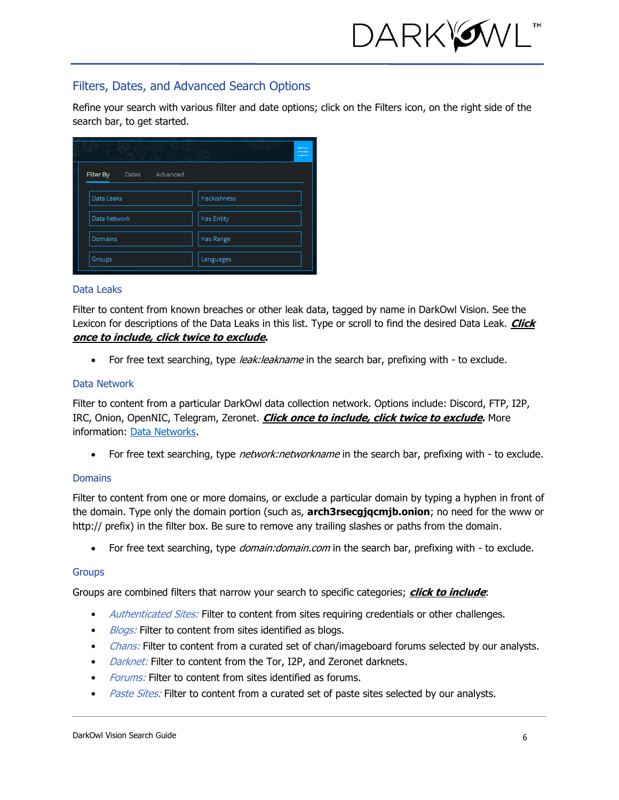

## Filters, Dates, and Advanced Search Options

Refine your search with various filter and date options; click on the Filters icon, on the right side of the search bar, to get started.

| Special Collection of the   |                   |
|-----------------------------|-------------------|
| Filter By<br>Dates Advanced |                   |
| Data Leaks                  | Hackishness       |
| Data Network                | <b>Has Entity</b> |
| Domains                     | Has Range         |
| Groups                      | Languages         |

#### Data Leaks

Filter to content from known breaches or other leak data, tagged by name in DarkOwl Vision. See the Lexicon for descriptions of the Data Leaks in this list. Type or scroll to find the desired Data Leak. **Click once to include, click twice to exclude.**

• For free text searching, type leak: leakname in the search bar, prefixing with - to exclude.

#### Data Network

Filter to content from a particular DarkOwl data collection network. Options include: Discord, FTP, I2P, IRC, Onion, OpenNIC, Telegram, Zeronet. **Click once to include, click twice to exclude.** More information: Data Networks.

For free text searching, type *network:networkname* in the search bar, prefixing with - to exclude.

#### **Domains**

Filter to content from one or more domains, or exclude a particular domain by typing a hyphen in front of the domain. Type only the domain portion (such as, **arch3rsecgjqcmjb.onion**; no need for the www or http:// prefix) in the filter box. Be sure to remove any trailing slashes or paths from the domain.

• For free text searching, type *domain: domain.com* in the search bar, prefixing with - to exclude.

#### **Groups**

Groups are combined filters that narrow your search to specific categories; **click to include**:

- Authenticated Sites: Filter to content from sites requiring credentials or other challenges.
- Blogs: Filter to content from sites identified as blogs.
- *Chans:* Filter to content from a curated set of chan/imageboard forums selected by our analysts.
- *Darknet:* Filter to content from the Tor, I2P, and Zeronet darknets.
- *Forums:* Filter to content from sites identified as forums.
- *Paste Sites:* Filter to content from a curated set of paste sites selected by our analysts.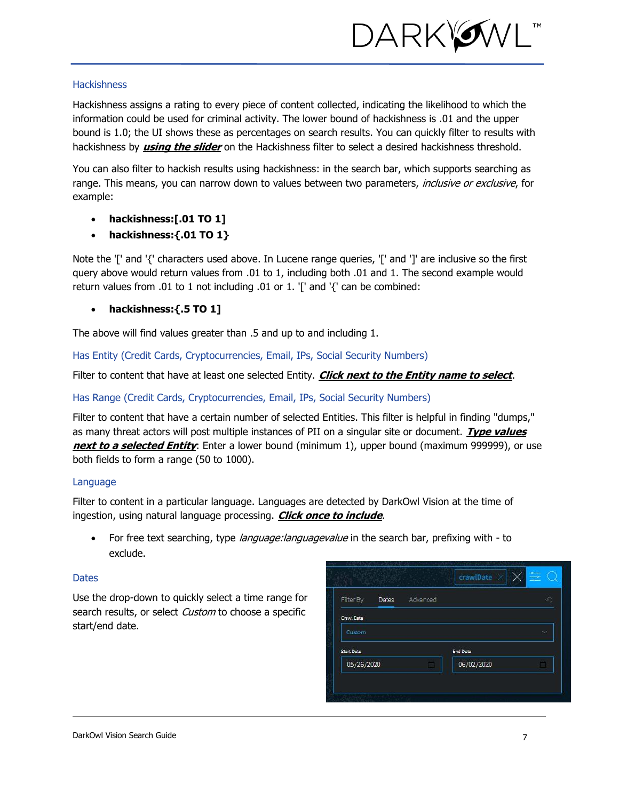

#### **Hackishness**

Hackishness assigns a rating to every piece of content collected, indicating the likelihood to which the information could be used for criminal activity. The lower bound of hackishness is .01 and the upper bound is 1.0; the UI shows these as percentages on search results. You can quickly filter to results with hackishness by **using the slider** on the Hackishness filter to select a desired hackishness threshold.

You can also filter to hackish results using hackishness: in the search bar, which supports searching as range. This means, you can narrow down to values between two parameters, inclusive or exclusive, for example:

- **hackishness:[.01 TO 1]**
- **hackishness:{.01 TO 1}**

Note the '[' and '{' characters used above. In Lucene range queries, '[' and ']' are inclusive so the first query above would return values from .01 to 1, including both .01 and 1. The second example would return values from .01 to 1 not including .01 or 1. '[' and '{' can be combined:

• **hackishness:{.5 TO 1]**

The above will find values greater than .5 and up to and including 1.

Has Entity (Credit Cards, Cryptocurrencies, Email, IPs, Social Security Numbers)

Filter to content that have at least one selected Entity. **Click next to the Entity name to select**.

#### Has Range (Credit Cards, Cryptocurrencies, Email, IPs, Social Security Numbers)

Filter to content that have a certain number of selected Entities. This filter is helpful in finding "dumps," as many threat actors will post multiple instances of PII on a singular site or document. **Type values next to a selected Entity**: Enter a lower bound (minimum 1), upper bound (maximum 999999), or use both fields to form a range (50 to 1000).

#### Language

Filter to content in a particular language. Languages are detected by DarkOwl Vision at the time of ingestion, using natural language processing. **Click once to include**.

• For free text searching, type *language: languagevalue* in the search bar, prefixing with - to exclude.

#### **Dates**

Use the drop-down to quickly select a time range for search results, or select Custom to choose a specific start/end date.

| Filter By         | Dates | Advanced |            | ю  |
|-------------------|-------|----------|------------|----|
| Crawl Date        |       |          |            |    |
| Custom            |       |          |            | ×. |
| <b>Start Date</b> |       |          | End Date   |    |
| 05/26/2020        |       |          | 06/02/2020 |    |